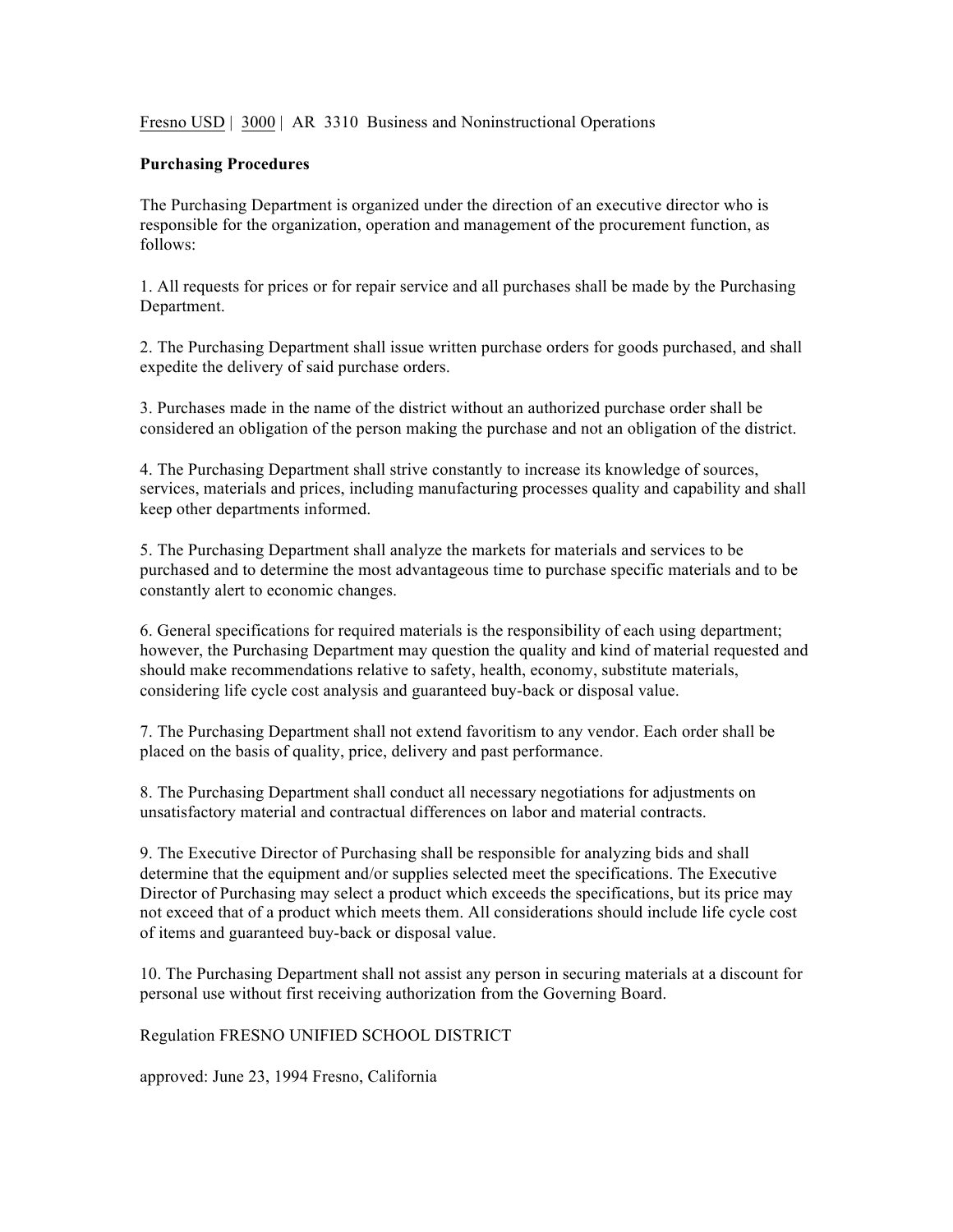Fresno USD | 3000 | AR 3310 Business and Noninstructional Operations

## **Purchasing Procedures**

The Purchasing Department is organized under the direction of an executive director who is responsible for the organization, operation and management of the procurement function, as follows:

1. All requests for prices or for repair service and all purchases shall be made by the Purchasing Department.

2. The Purchasing Department shall issue written purchase orders for goods purchased, and shall expedite the delivery of said purchase orders.

3. Purchases made in the name of the district without an authorized purchase order shall be considered an obligation of the person making the purchase and not an obligation of the district.

4. The Purchasing Department shall strive constantly to increase its knowledge of sources, services, materials and prices, including manufacturing processes quality and capability and shall keep other departments informed.

5. The Purchasing Department shall analyze the markets for materials and services to be purchased and to determine the most advantageous time to purchase specific materials and to be constantly alert to economic changes.

6. General specifications for required materials is the responsibility of each using department; however, the Purchasing Department may question the quality and kind of material requested and should make recommendations relative to safety, health, economy, substitute materials, considering life cycle cost analysis and guaranteed buy-back or disposal value.

7. The Purchasing Department shall not extend favoritism to any vendor. Each order shall be placed on the basis of quality, price, delivery and past performance.

8. The Purchasing Department shall conduct all necessary negotiations for adjustments on unsatisfactory material and contractual differences on labor and material contracts.

9. The Executive Director of Purchasing shall be responsible for analyzing bids and shall determine that the equipment and/or supplies selected meet the specifications. The Executive Director of Purchasing may select a product which exceeds the specifications, but its price may not exceed that of a product which meets them. All considerations should include life cycle cost of items and guaranteed buy-back or disposal value.

10. The Purchasing Department shall not assist any person in securing materials at a discount for personal use without first receiving authorization from the Governing Board.

Regulation FRESNO UNIFIED SCHOOL DISTRICT

approved: June 23, 1994 Fresno, California